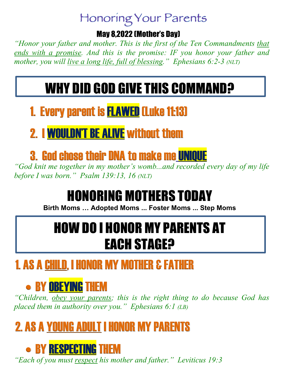#### Honoring Your Parents

#### May 8,2022 (Mother's Day)

*"Honor your father and mother. This is the first of the Ten Commandments that ends with a promise. And this is the promise: IF you honor your father and mother, you will live a long life, full of blessing." Ephesians 6:2-3 (NLT)*

# WHY DID GOD GIVE THIS COMMAND?

#### 1. Every parent is FLAWED(Luke 11:13)

#### 2. I WOULDN'T BE ALIVE without them

#### **3. God chose their DNA to make me UNIQUE**

*"God knit me together in my mother's womb...and recorded every day of my life before I was born." Psalm 139:13, 16 (NLT)*

# HONORING MOTHERS TODAY

**Birth Moms … Adopted Moms ... Foster Moms ... Step Moms**

## HOW DO I HONOR MY PARENTS AT EACH STAGE?

### 1. AS A CHILD, I HONOR MY MOTHER & FATHER

## • BY **OBEYING** THEM

*"Children, obey your parents; this is the right thing to do because God has placed them in authority over you." Ephesians 6:1 (LB)*

## 2. AS A YOUNG ADULT I HONOR MY PARENTS

### • BY RESPECTING THEM

*"Each of you must respect his mother and father." Leviticus 19:3*